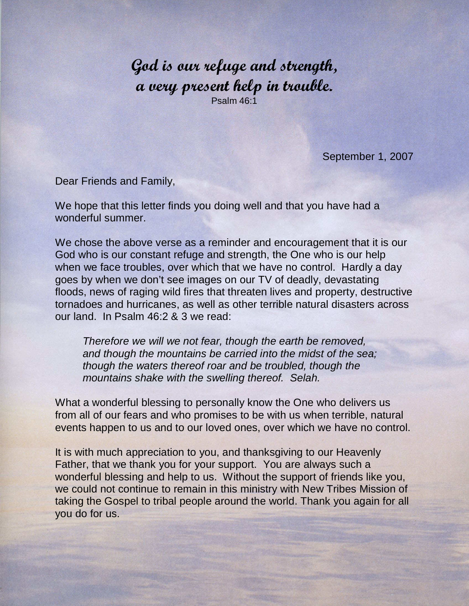God is our refuge and strength, a very present help in trouble. Psalm 46:1

September 1, 2007

Dear Friends and Family,

We hope that this letter finds you doing well and that you have had a wonderful summer.

We chose the above verse as a reminder and encouragement that it is our God who is our constant refuge and strength, the One who is our help when we face troubles, over which that we have no control. Hardly a day goes by when we don't see images on our TV of deadly, devastating floods, news of raging wild fires that threaten lives and property, destructive tornadoes and hurricanes, as well as other terrible natural disasters across our land. In Psalm 46:2 & 3 we read:

Therefore we will we not fear, though the earth be removed, and though the mountains be carried into the midst of the sea; though the waters thereof roar and be troubled, though the mountains shake with the swelling thereof. Selah.

What a wonderful blessing to personally know the One who delivers us from all of our fears and who promises to be with us when terrible, natural events happen to us and to our loved ones, over which we have no control.

It is with much appreciation to you, and thanksgiving to our Heavenly Father, that we thank you for your support. You are always such a wonderful blessing and help to us. Without the support of friends like you, we could not continue to remain in this ministry with New Tribes Mission of taking the Gospel to tribal people around the world. Thank you again for all you do for us.